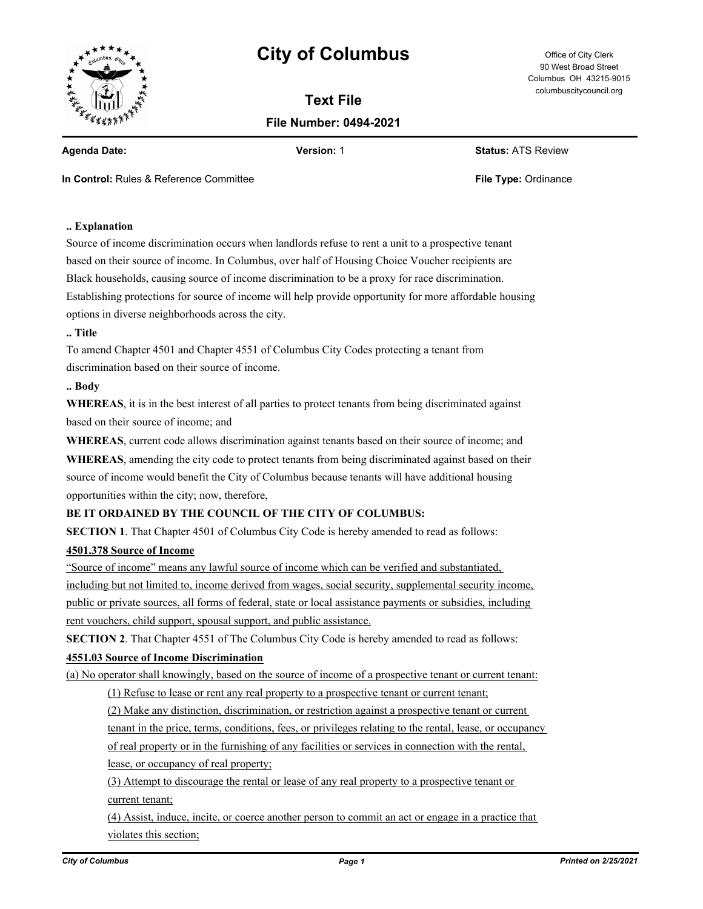

# **City of Columbus** Office of City Clerk

**Text File File Number: 0494-2021**

90 West Broad Street Columbus OH 43215-9015 columbuscitycouncil.org

**Agenda Date: Version:** 1 **Status:** ATS Review

**In Control:** Rules & Reference Committee **File Type:** Ordinance **File Type:** Ordinance

# **.. Explanation**

Source of income discrimination occurs when landlords refuse to rent a unit to a prospective tenant based on their source of income. In Columbus, over half of Housing Choice Voucher recipients are Black households, causing source of income discrimination to be a proxy for race discrimination. Establishing protections for source of income will help provide opportunity for more affordable housing options in diverse neighborhoods across the city.

### **.. Title**

To amend Chapter 4501 and Chapter 4551 of Columbus City Codes protecting a tenant from discrimination based on their source of income.

#### **.. Body**

**WHEREAS**, it is in the best interest of all parties to protect tenants from being discriminated against based on their source of income; and

**WHEREAS**, current code allows discrimination against tenants based on their source of income; and

**WHEREAS**, amending the city code to protect tenants from being discriminated against based on their source of income would benefit the City of Columbus because tenants will have additional housing opportunities within the city; now, therefore,

# **BE IT ORDAINED BY THE COUNCIL OF THE CITY OF COLUMBUS:**

**SECTION 1**. That Chapter 4501 of Columbus City Code is hereby amended to read as follows:

## **4501.378 Source of Income**

"Source of income" means any lawful source of income which can be verified and substantiated, including but not limited to, income derived from wages, social security, supplemental security income, public or private sources, all forms of federal, state or local assistance payments or subsidies, including rent vouchers, child support, spousal support, and public assistance.

**SECTION 2**. That Chapter 4551 of The Columbus City Code is hereby amended to read as follows:

## **4551.03 Source of Income Discrimination**

(a) No operator shall knowingly, based on the source of income of a prospective tenant or current tenant:

(1) Refuse to lease or rent any real property to a prospective tenant or current tenant;

(2) Make any distinction, discrimination, or restriction against a prospective tenant or current

tenant in the price, terms, conditions, fees, or privileges relating to the rental, lease, or occupancy

of real property or in the furnishing of any facilities or services in connection with the rental,

lease, or occupancy of real property;

(3) Attempt to discourage the rental or lease of any real property to a prospective tenant or current tenant;

(4) Assist, induce, incite, or coerce another person to commit an act or engage in a practice that violates this section;